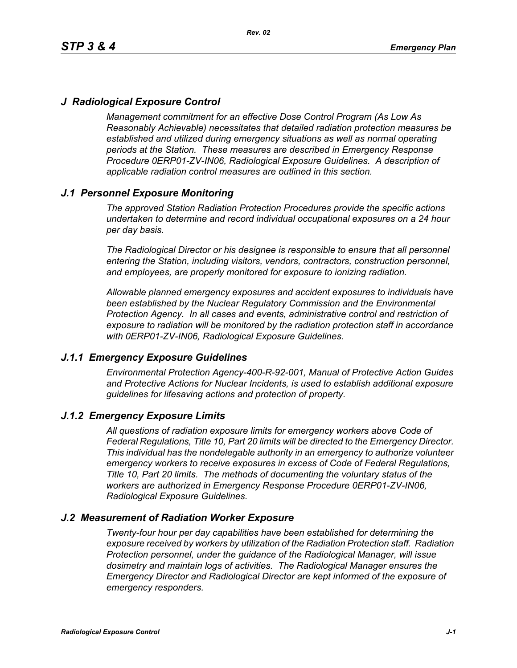# *J Radiological Exposure Control*

*Management commitment for an effective Dose Control Program (As Low As Reasonably Achievable) necessitates that detailed radiation protection measures be established and utilized during emergency situations as well as normal operating periods at the Station. These measures are described in Emergency Response Procedure 0ERP01-ZV-IN06, Radiological Exposure Guidelines. A description of applicable radiation control measures are outlined in this section.*

## *J.1 Personnel Exposure Monitoring*

*The approved Station Radiation Protection Procedures provide the specific actions undertaken to determine and record individual occupational exposures on a 24 hour per day basis.*

*The Radiological Director or his designee is responsible to ensure that all personnel entering the Station, including visitors, vendors, contractors, construction personnel, and employees, are properly monitored for exposure to ionizing radiation.*

*Allowable planned emergency exposures and accident exposures to individuals have been established by the Nuclear Regulatory Commission and the Environmental Protection Agency. In all cases and events, administrative control and restriction of exposure to radiation will be monitored by the radiation protection staff in accordance with 0ERP01-ZV-IN06, Radiological Exposure Guidelines.*

### *J.1.1 Emergency Exposure Guidelines*

*Environmental Protection Agency-400-R-92-001, Manual of Protective Action Guides and Protective Actions for Nuclear Incidents, is used to establish additional exposure guidelines for lifesaving actions and protection of property.*

### *J.1.2 Emergency Exposure Limits*

*All questions of radiation exposure limits for emergency workers above Code of Federal Regulations, Title 10, Part 20 limits will be directed to the Emergency Director. This individual has the nondelegable authority in an emergency to authorize volunteer emergency workers to receive exposures in excess of Code of Federal Regulations, Title 10, Part 20 limits. The methods of documenting the voluntary status of the workers are authorized in Emergency Response Procedure 0ERP01-ZV-IN06, Radiological Exposure Guidelines.*

### *J.2 Measurement of Radiation Worker Exposure*

*Twenty-four hour per day capabilities have been established for determining the exposure received by workers by utilization of the Radiation Protection staff. Radiation Protection personnel, under the guidance of the Radiological Manager, will issue dosimetry and maintain logs of activities. The Radiological Manager ensures the Emergency Director and Radiological Director are kept informed of the exposure of emergency responders.*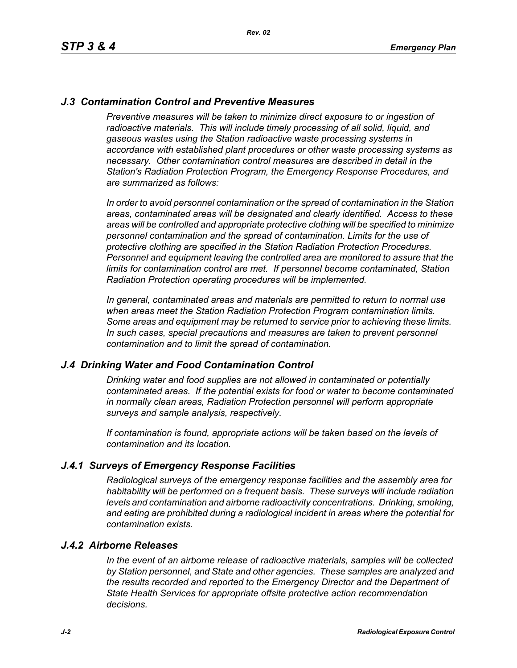## *J.3 Contamination Control and Preventive Measures*

*Preventive measures will be taken to minimize direct exposure to or ingestion of* radioactive materials. This will include timely processing of all solid, liquid, and *gaseous wastes using the Station radioactive waste processing systems in accordance with established plant procedures or other waste processing systems as necessary. Other contamination control measures are described in detail in the Station's Radiation Protection Program, the Emergency Response Procedures, and are summarized as follows:*

*In order to avoid personnel contamination or the spread of contamination in the Station areas, contaminated areas will be designated and clearly identified. Access to these areas will be controlled and appropriate protective clothing will be specified to minimize personnel contamination and the spread of contamination. Limits for the use of protective clothing are specified in the Station Radiation Protection Procedures. Personnel and equipment leaving the controlled area are monitored to assure that the limits for contamination control are met. If personnel become contaminated, Station Radiation Protection operating procedures will be implemented.* 

*In general, contaminated areas and materials are permitted to return to normal use when areas meet the Station Radiation Protection Program contamination limits. Some areas and equipment may be returned to service prior to achieving these limits. In such cases, special precautions and measures are taken to prevent personnel contamination and to limit the spread of contamination.*

### *J.4 Drinking Water and Food Contamination Control*

*Drinking water and food supplies are not allowed in contaminated or potentially contaminated areas. If the potential exists for food or water to become contaminated in normally clean areas, Radiation Protection personnel will perform appropriate surveys and sample analysis, respectively.*

*If contamination is found, appropriate actions will be taken based on the levels of contamination and its location.*

### *J.4.1 Surveys of Emergency Response Facilities*

*Radiological surveys of the emergency response facilities and the assembly area for habitability will be performed on a frequent basis. These surveys will include radiation levels and contamination and airborne radioactivity concentrations. Drinking, smoking, and eating are prohibited during a radiological incident in areas where the potential for contamination exists.*

#### *J.4.2 Airborne Releases*

*In the event of an airborne release of radioactive materials, samples will be collected by Station personnel, and State and other agencies. These samples are analyzed and the results recorded and reported to the Emergency Director and the Department of State Health Services for appropriate offsite protective action recommendation decisions.*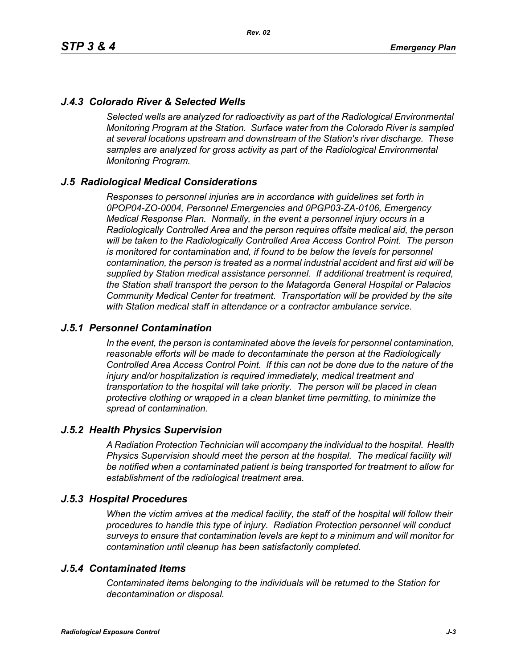# *J.4.3 Colorado River & Selected Wells*

*Selected wells are analyzed for radioactivity as part of the Radiological Environmental Monitoring Program at the Station. Surface water from the Colorado River is sampled at several locations upstream and downstream of the Station's river discharge. These samples are analyzed for gross activity as part of the Radiological Environmental Monitoring Program.*

### *J.5 Radiological Medical Considerations*

*Responses to personnel injuries are in accordance with guidelines set forth in 0POP04-ZO-0004, Personnel Emergencies and 0PGP03-ZA-0106, Emergency Medical Response Plan. Normally, in the event a personnel injury occurs in a Radiologically Controlled Area and the person requires offsite medical aid, the person will be taken to the Radiologically Controlled Area Access Control Point. The person is monitored for contamination and, if found to be below the levels for personnel contamination, the person is treated as a normal industrial accident and first aid will be supplied by Station medical assistance personnel. If additional treatment is required, the Station shall transport the person to the Matagorda General Hospital or Palacios Community Medical Center for treatment. Transportation will be provided by the site with Station medical staff in attendance or a contractor ambulance service.*

### *J.5.1 Personnel Contamination*

*In the event, the person is contaminated above the levels for personnel contamination, reasonable efforts will be made to decontaminate the person at the Radiologically Controlled Area Access Control Point. If this can not be done due to the nature of the injury and/or hospitalization is required immediately, medical treatment and transportation to the hospital will take priority. The person will be placed in clean protective clothing or wrapped in a clean blanket time permitting, to minimize the spread of contamination.*

### *J.5.2 Health Physics Supervision*

*A Radiation Protection Technician will accompany the individual to the hospital. Health Physics Supervision should meet the person at the hospital. The medical facility will be notified when a contaminated patient is being transported for treatment to allow for establishment of the radiological treatment area.*

### *J.5.3 Hospital Procedures*

*When the victim arrives at the medical facility, the staff of the hospital will follow their procedures to handle this type of injury. Radiation Protection personnel will conduct surveys to ensure that contamination levels are kept to a minimum and will monitor for contamination until cleanup has been satisfactorily completed.*

### *J.5.4 Contaminated Items*

*Contaminated items belonging to the individuals will be returned to the Station for decontamination or disposal.*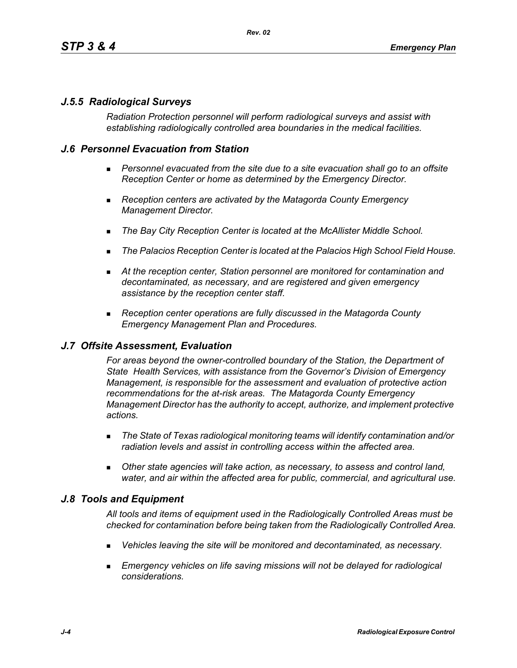## *J.5.5 Radiological Surveys*

*Radiation Protection personnel will perform radiological surveys and assist with establishing radiologically controlled area boundaries in the medical facilities.*

### *J.6 Personnel Evacuation from Station*

- **Personnel evacuated from the site due to a site evacuation shall go to an offsite** *Reception Center or home as determined by the Emergency Director.*
- *Reception centers are activated by the Matagorda County Emergency Management Director.*
- *The Bay City Reception Center is located at the McAllister Middle School.*
- *The Palacios Reception Center is located at the Palacios High School Field House.*
- *At the reception center, Station personnel are monitored for contamination and decontaminated, as necessary, and are registered and given emergency assistance by the reception center staff.*
- *Reception center operations are fully discussed in the Matagorda County Emergency Management Plan and Procedures.*

### *J.7 Offsite Assessment, Evaluation*

*For areas beyond the owner-controlled boundary of the Station, the Department of State Health Services, with assistance from the Governor's Division of Emergency Management, is responsible for the assessment and evaluation of protective action recommendations for the at-risk areas. The Matagorda County Emergency Management Director has the authority to accept, authorize, and implement protective actions.*

- *The State of Texas radiological monitoring teams will identify contamination and/or radiation levels and assist in controlling access within the affected area.*
- *Other state agencies will take action, as necessary, to assess and control land, water, and air within the affected area for public, commercial, and agricultural use.*

### *J.8 Tools and Equipment*

*All tools and items of equipment used in the Radiologically Controlled Areas must be checked for contamination before being taken from the Radiologically Controlled Area.*

- *Vehicles leaving the site will be monitored and decontaminated, as necessary.*
- **Emergency vehicles on life saving missions will not be delayed for radiological** *considerations.*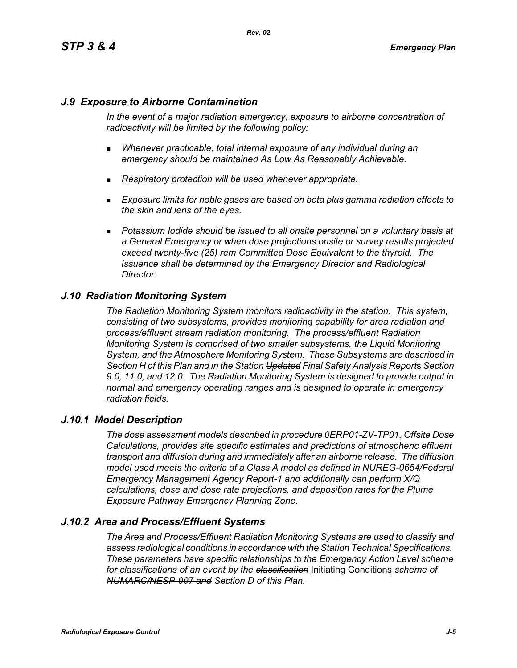## *J.9 Exposure to Airborne Contamination*

*In the event of a major radiation emergency, exposure to airborne concentration of radioactivity will be limited by the following policy:*

- *Whenever practicable, total internal exposure of any individual during an emergency should be maintained As Low As Reasonably Achievable.*
- *Respiratory protection will be used whenever appropriate.*
- *Exposure limits for noble gases are based on beta plus gamma radiation effects to the skin and lens of the eyes.*
- **Potassium Iodide should be issued to all onsite personnel on a voluntary basis at** *a General Emergency or when dose projections onsite or survey results projected exceed twenty-five (25) rem Committed Dose Equivalent to the thyroid. The issuance shall be determined by the Emergency Director and Radiological Director.*

### *J.10 Radiation Monitoring System*

*The Radiation Monitoring System monitors radioactivity in the station. This system, consisting of two subsystems, provides monitoring capability for area radiation and process/effluent stream radiation monitoring. The process/effluent Radiation Monitoring System is comprised of two smaller subsystems, the Liquid Monitoring System, and the Atmosphere Monitoring System. These Subsystems are described in Section H of this Plan and in the Station Updated Final Safety Analysis Report*s *Section 9.0, 11.0, and 12.0. The Radiation Monitoring System is designed to provide output in normal and emergency operating ranges and is designed to operate in emergency radiation fields.*

### *J.10.1 Model Description*

*The dose assessment models described in procedure 0ERP01-ZV-TP01, Offsite Dose Calculations, provides site specific estimates and predictions of atmospheric effluent transport and diffusion during and immediately after an airborne release. The diffusion model used meets the criteria of a Class A model as defined in NUREG-0654/Federal Emergency Management Agency Report-1 and additionally can perform X/Q calculations, dose and dose rate projections, and deposition rates for the Plume Exposure Pathway Emergency Planning Zone.*

### *J.10.2 Area and Process/Effluent Systems*

*The Area and Process/Effluent Radiation Monitoring Systems are used to classify and assess radiological conditions in accordance with the Station Technical Specifications. These parameters have specific relationships to the Emergency Action Level scheme for classifications of an event by the classification* Initiating Conditions *scheme of NUMARC/NESP-007 and Section D of this Plan.*